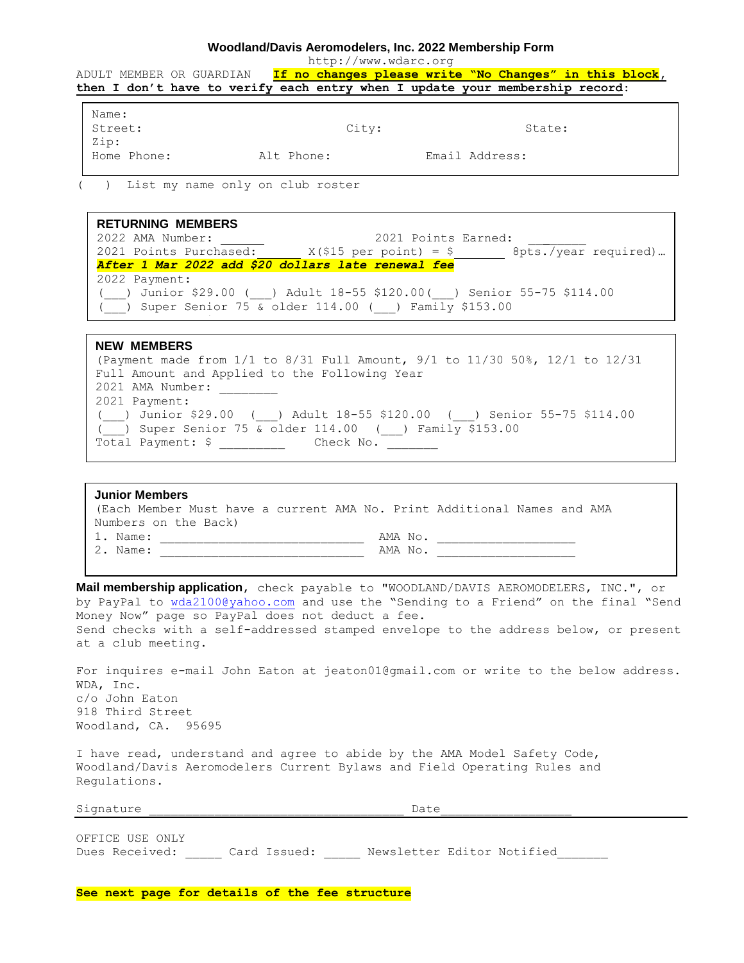## **Woodland/Davis Aeromodelers, Inc. 2022 Membership Form**

http://www.wdarc.org

ADULT MEMBER OR GUARDIAN **If no changes please write "No Changes" in this block, then I don't have to verify each entry when I update your membership record**:

| Name:       |            |       |                |        |
|-------------|------------|-------|----------------|--------|
| Street:     |            | City: |                | State: |
| Zip:        |            |       |                |        |
| Home Phone: | Alt Phone: |       | Email Address: |        |

) List my name only on club roster

**RETURNING MEMBERS** 2022 AMA Number: 2021 Points Earned: 2021 Points Purchased:  $X(\$15 \text{ per point}) = \$$  8pts./year required)… *After 1 Mar 2022 add \$20 dollars late renewal fee* 2022 Payment: (\_\_\_) Junior \$29.00 (\_\_\_) Adult 18-55 \$120.00(\_\_\_) Senior 55-75 \$114.00  $\overline{(-)}$  Super Senior 75 & older 114.00 ( ) Family \$153.00 Total Payment:  $\overline{\phantom{a}}$  ,  $\overline{\phantom{a}}$  ,  $\overline{\phantom{a}}$  ,  $\overline{\phantom{a}}$  ,  $\overline{\phantom{a}}$  ,  $\overline{\phantom{a}}$  ,  $\overline{\phantom{a}}$  ,  $\overline{\phantom{a}}$  ,  $\overline{\phantom{a}}$  ,  $\overline{\phantom{a}}$  ,  $\overline{\phantom{a}}$  ,  $\overline{\phantom{a}}$  ,  $\overline{\phantom{a}}$  ,  $\overline{\phantom{a}}$  ,  $\overline{\phantom{a}}$ 

**NEW MEMBERS** (Payment made from 1/1 to 8/31 Full Amount, 9/1 to 11/30 50%, 12/1 to 12/31 Full Amount and Applied to the Following Year 2021 AMA Number: 2021 Payment: (\_\_\_) Junior \$29.00 (\_\_\_) Adult 18-55 \$120.00 (\_\_\_) Senior 55-75 \$114.00  $(\frac{1}{\sqrt{2}})$  Super Senior 75 & older 114.00 (1) Family \$153.00 Total Payment: \$ \_\_\_\_\_\_\_\_\_ Check No. \_\_\_\_\_\_\_

Note: Seniors over 75 can deduct points earned against dues at \$15 per point.

| <b>Junior Members</b>                                                   |         |
|-------------------------------------------------------------------------|---------|
| (Each Member Must have a current AMA No. Print Additional Names and AMA |         |
| Numbers on the Back)                                                    |         |
| 1. Name:                                                                | AMA No. |
| 2. Name:                                                                | AMA No. |
|                                                                         |         |

**Mail membership application**, check payable to "WOODLAND/DAVIS AEROMODELERS, INC.", or by PayPal to [wda2100@yahoo.com](mailto:wda2100@yahoo.com) and use the "Sending to a Friend" on the final "Send Money Now" page so PayPal does not deduct a fee. Send checks with a self-addressed stamped envelope to the address below, or present at a club meeting.

For inquires e-mail John Eaton at jeaton01@gmail.com or write to the below address. WDA, Inc. c/o John Eaton 918 Third Street Woodland, CA. 95695

I have read, understand and agree to abide by the AMA Model Safety Code, Woodland/Davis Aeromodelers Current Bylaws and Field Operating Rules and Regulations.

Signature  $\Box$ 

OFFICE USE ONLY Dues Received: Card Issued: \_\_\_\_\_ Newsletter Editor Notified

**See next page for details of the fee structure**